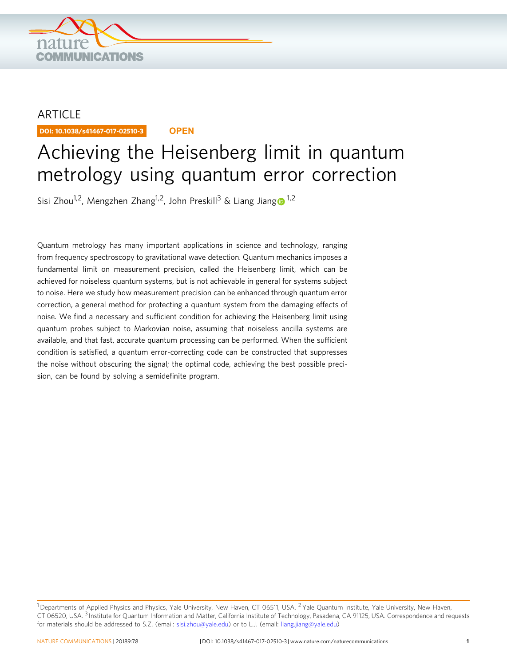

## **ARTICLE**

DOI: 10.1038/s41467-017-02510-3 **OPEN**

# Achieving the Heisenberg limit in quantum metrology using quantum error correction

Sisi Zhou<sup>1,2</sup>, Men[g](http://orcid.org/0000-0002-0000-9342)zhen Zhang<sup>1,2</sup>, John Preskill<sup>3</sup> & Liang Jiang  $\bullet$ <sup>1,2</sup>

Quantum metrology has many important applications in science and technology, ranging from frequency spectroscopy to gravitational wave detection. Quantum mechanics imposes a fundamental limit on measurement precision, called the Heisenberg limit, which can be achieved for noiseless quantum systems, but is not achievable in general for systems subject to noise. Here we study how measurement precision can be enhanced through quantum error correction, a general method for protecting a quantum system from the damaging effects of noise. We find a necessary and sufficient condition for achieving the Heisenberg limit using quantum probes subject to Markovian noise, assuming that noiseless ancilla systems are available, and that fast, accurate quantum processing can be performed. When the sufficient condition is satisfied, a quantum error-correcting code can be constructed that suppresses the noise without obscuring the signal; the optimal code, achieving the best possible precision, can be found by solving a semidefinite program.

 $1$ Departments of Applied Physics and Physics, Yale University, New Haven, CT 06511, USA.  $2$  Yale Quantum Institute, Yale University, New Haven, CT 06520, USA. <sup>3</sup> Institute for Quantum Information and Matter, California Institute of Technology, Pasadena, CA 91125, USA. Correspondence and requests for materials should be addressed to S.Z. (email: [sisi.zhou@yale.edu](mailto:sisi.zhou@yale.edu)) or to L.J. (email: [liang.jiang@yale.edu\)](mailto:liang.jiang@yale.edu)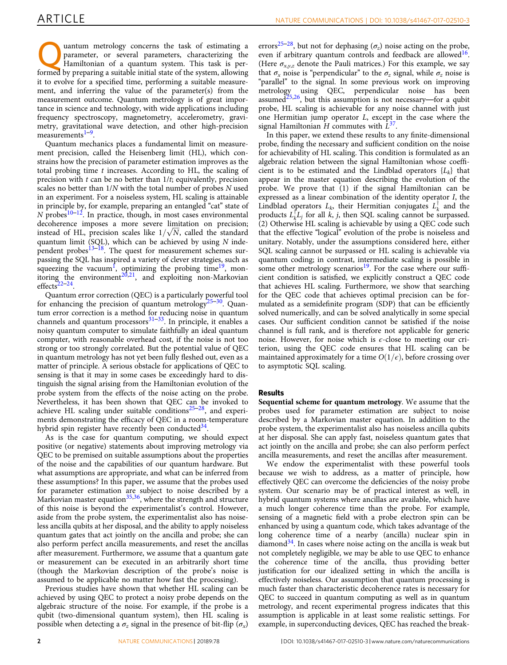uantum metrology concerns the task of estimating a parameter, or several parameters, characterizing the Hamiltonian of a quantum system. This task is performed by preparing a suitable initial state of the system, allowing it to evolve for a specified time, performing a suitable measurement, and inferring the value of the parameter(s) from the measurement outcome. Quantum metrology is of great importance in science and technology, with wide applications including frequency spectroscopy, magnetometry, accelerometry, gravimetry, gravitational wave detection, and other high-precision measurements $1-9$  $1-9$  $1-9$ .

Quantum mechanics places a fundamental limit on measurement precision, called the Heisenberg limit (HL), which constrains how the precision of parameter estimation improves as the total probing time  $t$  increases. According to HL, the scaling of precision with  $t$  can be no better than  $1/t$ ; equivalently, precision scales no better than 1/N with the total number of probes N used in an experiment. For a noiseless system, HL scaling is attainable in principle by, for example, preparing an entangled "cat" state of  $N$  probes<sup>[10](#page-9-0)–[12](#page-9-0)</sup>. In practice, though, in most cases environmental decoherence imposes a more severe limitation on precision; instead of HL, precision scales like  $1/\sqrt{N}$ , called the standard quantum limit (SQL), which can be achieved by using  $N$  inde-pendent probes<sup>[13](#page-9-0)–[18](#page-9-0)</sup>. The quest for measurement schemes surpassing the SQL has inspired a variety of clever strategies, such as squeezing the vacuum<sup>1</sup>, optimizing the probing time<sup>19</sup>, monitoring the environment<sup>20,21</sup>, and exploiting non-Markovian effects $22-24$  $22-24$ .

Quantum error correction (QEC) is a particularly powerful tool for enhancing the precision of quantum metrology<sup>[25](#page-9-0)–[30](#page-9-0)</sup>. Quantum error correction is a method for reducing noise in quantum channels and quantum processors $31-33$  $31-33$ . In principle, it enables a noisy quantum computer to simulate faithfully an ideal quantum computer, with reasonable overhead cost, if the noise is not too strong or too strongly correlated. But the potential value of QEC in quantum metrology has not yet been fully fleshed out, even as a matter of principle. A serious obstacle for applications of QEC to sensing is that it may in some cases be exceedingly hard to distinguish the signal arising from the Hamiltonian evolution of the probe system from the effects of the noise acting on the probe. Nevertheless, it has been shown that QEC can be invoked to achieve HL scaling under suitable conditions $25-28$  $25-28$  $25-28$ , and experiments demonstrating the efficacy of QEC in a room-temperature hybrid spin register have recently been conducted $34$ .

As is the case for quantum computing, we should expect positive (or negative) statements about improving metrology via QEC to be premised on suitable assumptions about the properties of the noise and the capabilities of our quantum hardware. But what assumptions are appropriate, and what can be inferred from these assumptions? In this paper, we assume that the probes used for parameter estimation are subject to noise described by a Markovian master equation<sup>[35,36](#page-9-0)</sup>, where the strength and structure of this noise is beyond the experimentalist's control. However, aside from the probe system, the experimentalist also has noiseless ancilla qubits at her disposal, and the ability to apply noiseless quantum gates that act jointly on the ancilla and probe; she can also perform perfect ancilla measurements, and reset the ancillas after measurement. Furthermore, we assume that a quantum gate or measurement can be executed in an arbitrarily short time (though the Markovian description of the probe's noise is assumed to be applicable no matter how fast the processing).

Previous studies have shown that whether HL scaling can be achieved by using QEC to protect a noisy probe depends on the algebraic structure of the noise. For example, if the probe is a qubit (two-dimensional quantum system), then HL scaling is possible when detecting a  $\sigma_z$  signal in the presence of bit-flip  $(\sigma_x)$ 

errors<sup>[25](#page-9-0)–[28](#page-9-0)</sup>, but not for dephasing ( $\sigma_z$ ) noise acting on the probe, even if arbitrary quantum controls and feedback are allowed<sup>16</sup>. (Here  $\sigma_{xyz}$  denote the Pauli matrices.) For this example, we say that  $\sigma_x$  noise is "perpendicular" to the  $\sigma_z$  signal, while  $\sigma_z$  noise is "parallel" to the signal. In some previous work on improving metrology using QEC, perpendicular noise has been assumed<sup>[25,26](#page-9-0)</sup>, but this assumption is not necessary—for a qubit probe, HL scaling is achievable for any noise channel with just one Hermitian jump operator L, except in the case where the signal Hamiltonian H commutes with  $L^{37}$ .

In this paper, we extend these results to any finite-dimensional probe, finding the necessary and sufficient condition on the noise for achievability of HL scaling. This condition is formulated as an algebraic relation between the signal Hamiltonian whose coefficient is to be estimated and the Lindblad operators  ${L_k}$  that appear in the master equation describing the evolution of the probe. We prove that (1) if the signal Hamiltonian can be expressed as a linear combination of the identity operator I, the Lindblad operators  $L_k$ , their Hermitian conjugates  $L_k$  and the products  $L_k^{\dagger}L_j$  for all k, j, then SQL scaling cannot be surpassed. (2) Otherwise HL scaling is achievable by using a QEC code such that the effective "logical" evolution of the probe is noiseless and unitary. Notably, under the assumptions considered here, either SQL scaling cannot be surpassed or HL scaling is achievable via quantum coding; in contrast, intermediate scaling is possible in some other metrology scenarios<sup>19</sup>. For the case where our sufficient condition is satisfied, we explicitly construct a QEC code that achieves HL scaling. Furthermore, we show that searching for the QEC code that achieves optimal precision can be formulated as a semidefinite program (SDP) that can be efficiently solved numerically, and can be solved analytically in some special cases. Our sufficient condition cannot be satisfied if the noise channel is full rank, and is therefore not applicable for generic noise. However, for noise which is  $\epsilon$ -close to meeting our criterion, using the QEC code ensures that HL scaling can be maintained approximately for a time  $O(1/\epsilon)$ , before crossing over to asymptotic SQL scaling.

#### Results

Sequential scheme for quantum metrology. We assume that the probes used for parameter estimation are subject to noise described by a Markovian master equation. In addition to the probe system, the experimentalist also has noiseless ancilla qubits at her disposal. She can apply fast, noiseless quantum gates that act jointly on the ancilla and probe; she can also perform perfect ancilla measurements, and reset the ancillas after measurement.

We endow the experimentalist with these powerful tools because we wish to address, as a matter of principle, how effectively QEC can overcome the deficiencies of the noisy probe system. Our scenario may be of practical interest as well, in hybrid quantum systems where ancillas are available, which have a much longer coherence time than the probe. For example, sensing of a magnetic field with a probe electron spin can be enhanced by using a quantum code, which takes advantage of the long coherence time of a nearby (ancilla) nuclear spin in diamond $34$ . In cases where noise acting on the ancilla is weak but not completely negligible, we may be able to use QEC to enhance the coherence time of the ancilla, thus providing better justification for our idealized setting in which the ancilla is effectively noiseless. Our assumption that quantum processing is much faster than characteristic decoherence rates is necessary for QEC to succeed in quantum computing as well as in quantum metrology, and recent experimental progress indicates that this assumption is applicable in at least some realistic settings. For example, in superconducting devices, QEC has reached the break-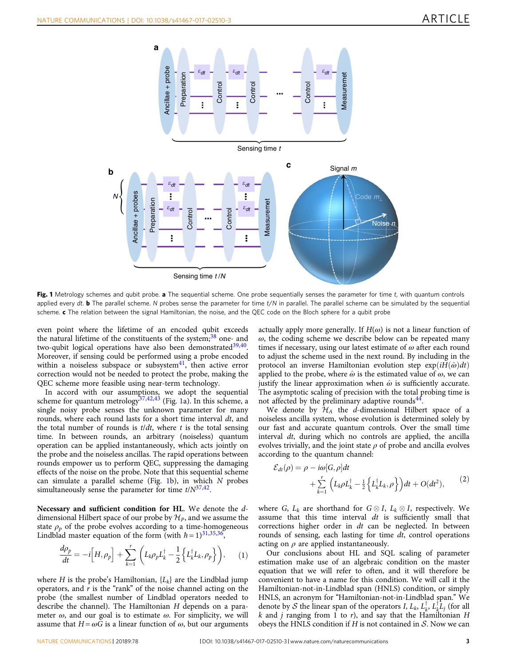<span id="page-2-0"></span>

Fig. 1 Metrology schemes and qubit probe. a The sequential scheme. One probe sequentially senses the parameter for time t, with quantum controls applied every dt. **b** The parallel scheme. N probes sense the parameter for time  $t/N$  in parallel. The parallel scheme can be simulated by the sequential scheme.  $c$  The relation between the signal Hamiltonian, the noise, and the QEC code on the Bloch sphere for a qubit probe

even point where the lifetime of an encoded qubit exceeds the natural lifetime of the constituents of the system; $38$  one- and two-qubit logical operations have also been demonstrated $39,40$ . Moreover, if sensing could be performed using a probe encoded within a noiseless subspace or subsystem $41$ , then active error correction would not be needed to protect the probe, making the QEC scheme more feasible using near-term technology.

In accord with our assumptions, we adopt the sequential scheme for quantum metrology<sup>37,[42,43](#page-10-0)</sup> (Fig. 1a). In this scheme, a single noisy probe senses the unknown parameter for many rounds, where each round lasts for a short time interval dt, and the total number of rounds is  $t/dt$ , where t is the total sensing time. In between rounds, an arbitrary (noiseless) quantum operation can be applied instantaneously, which acts jointly on the probe and the noiseless ancillas. The rapid operations between rounds empower us to perform QEC, suppressing the damaging effects of the noise on the probe. Note that this sequential scheme can simulate a parallel scheme (Fig. 1b), in which N probes simultaneously sense the parameter for time  $t/N^{37,42}$  $t/N^{37,42}$  $t/N^{37,42}$  $t/N^{37,42}$  $t/N^{37,42}$ .

Necessary and sufficient condition for HL. We denote the ddimensional Hilbert space of our probe by  $\mathcal{H}_P$ , and we assume the state  $\rho_p$  of the probe evolves according to a time-homogeneous Lindblad master equation of the form (with  $\hbar = 1$ )<sup>31,35,36</sup>,

$$
\frac{d\rho_p}{dt} = -i \Big[ H, \rho_p \Big] + \sum_{k=1}^r \Big( L_k \rho_p L_k^\dagger - \frac{1}{2} \Big\{ L_k^\dagger L_k, \rho_p \Big\} \Big), \qquad (1)
$$

where H is the probe's Hamiltonian,  $\{L_k\}$  are the Lindblad jump operators, and  $r$  is the "rank" of the noise channel acting on the probe (the smallest number of Lindblad operators needed to describe the channel). The Hamiltonian H depends on a parameter  $\omega$ , and our goal is to estimate  $\omega$ . For simplicity, we will assume that  $H = \omega G$  is a linear function of  $\omega$ , but our arguments

actually apply more generally. If  $H(\omega)$  is not a linear function of  $\omega$ , the coding scheme we describe below can be repeated many times if necessary, using our latest estimate of  $\omega$  after each round to adjust the scheme used in the next round. By including in the protocol an inverse Hamiltonian evolution step  $exp(iH(\hat{\omega})dt)$ applied to the probe, where  $\hat{\omega}$  is the estimated value of  $\omega$ , we can justify the linear approximation when  $\hat{\omega}$  is sufficiently accurate. The asymptotic scaling of precision with the total probing time is not affected by the preliminary adaptive rounds $^{44}$  $^{44}$  $^{44}$ .

We denote by  $H_A$  the d-dimensional Hilbert space of a noiseless ancilla system, whose evolution is determined solely by our fast and accurate quantum controls. Over the small time interval *dt*, during which no controls are applied, the ancilla evolves trivially, and the joint state  $\rho$  of probe and ancilla evolves according to the quantum channel:

$$
\mathcal{E}_{dt}(\rho) = \rho - i\omega[G, \rho]dt + \sum_{k=1}^r \left( L_k \rho L_k^{\dagger} - \frac{1}{2} \left\{ L_k^{\dagger} L_k, \rho \right\} \right) dt + O(dt^2),
$$
 (2)

where G,  $L_k$  are shorthand for  $G \otimes I$ ,  $L_k \otimes I$ , respectively. We assume that this time interval  $dt$  is sufficiently small that corrections higher order in dt can be neglected. In between rounds of sensing, each lasting for time dt, control operations acting on  $\rho$  are applied instantaneously.

Our conclusions about HL and SQL scaling of parameter estimation make use of an algebraic condition on the master equation that we will refer to often, and it will therefore be convenient to have a name for this condition. We will call it the Hamiltonian-not-in-Lindblad span (HNLS) condition, or simply HNLS, an acronym for "Hamiltonian-not-in-Lindblad span." We denote by S the linear span of the operators I,  $L_k$ ,  $L_k^{\dagger}$ ,  $L_k^{\dagger}L_j$  (for all k and i ranging from 1 to r), and say that the Hamiltonian H  $k$  and  $j$  ranging from 1 to  $r$ ), and say that the Hamiltonian  $H$ obeys the HNLS condition if  $H$  is not contained in  $S$ . Now we can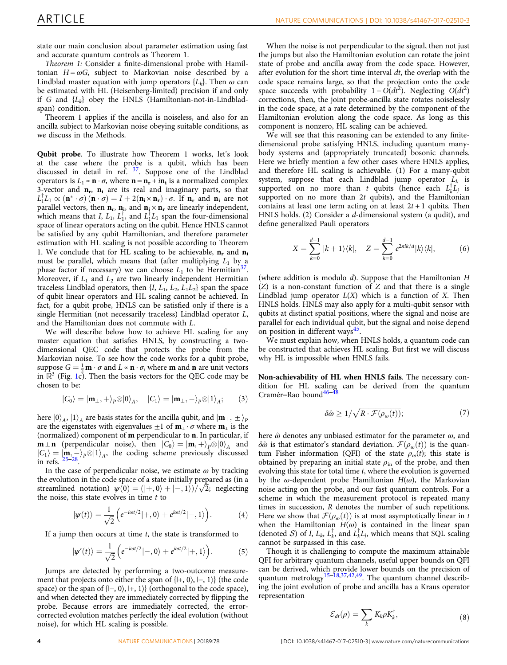<span id="page-3-0"></span>state our main conclusion about parameter estimation using fast and accurate quantum controls as Theorem 1.

Theorem 1: Consider a finite-dimensional probe with Hamiltonian  $H = \omega G$ , subject to Markovian noise described by a Lindblad master equation with jump operators  ${L_k}$ . Then  $\omega$  can be estimated with HL (Heisenberg-limited) precision if and only if G and  ${L_k}$  obey the HNLS (Hamiltonian-not-in-Lindbladspan) condition.

Theorem 1 applies if the ancilla is noiseless, and also for an ancilla subject to Markovian noise obeying suitable conditions, as we discuss in the Methods.

Qubit probe. To illustrate how Theorem 1 works, let's look at the case where the probe is a qubit, which has been discussed in detail in ref. [37.](#page-9-0) Suppose one of the Lindblad operators is  $L_1 \propto \mathbf{n} \cdot \sigma$ , where  $\mathbf{n} = \mathbf{n}_r + i\mathbf{n}_i$  is a normalized complex 3-vector and  $n_r$ ,  $n_i$  are its real and imaginary parts, so that  $L_1^{\dagger}L_1 \propto (\mathbf{n}^* \cdot \sigma) (\mathbf{n} \cdot \sigma) = I + 2(\mathbf{n}_i \times \mathbf{n}_r) \cdot \sigma$ . If  $\mathbf{n}_r$  and  $\mathbf{n}_i$  are not parallel vectors, then  $\mathbf{n}_r$ ,  $\mathbf{n}_r$  and  $\mathbf{n}_i \times \mathbf{n}_r$  are linearly independent. parallel vectors, then  $\mathbf{n_r},\,\mathbf{n_i}$ , and  $\mathbf{n_i}\times \mathbf{n_r}$  are linearly independent, which means that I,  $L_1$ ,  $L_1^{\dagger}$ , and  $L_1^{\dagger}L_1$  span the four-dimensional space of linear operators acting on the qubit. Hence HNLS cannot be satisfied by any qubit Hamiltonian, and therefore parameter estimation with HL scaling is not possible according to Theorem 1. We conclude that for HL scaling to be achievable,  $n_r$  and  $n_i$ must be parallel, which means that (after multiplying  $L_1$  by a phase factor if necessary) we can choose  $L_1$  to be Hermitian<sup>37</sup>. Moreover, if  $L_1$  and  $L_2$  are two linearly independent Hermitian traceless Lindblad operators, then  $\{I, L_1, L_2, L_1L_2\}$  span the space of qubit linear operators and HL scaling cannot be achieved. In fact, for a qubit probe, HNLS can be satisfied only if there is a single Hermitian (not necessarily traceless) Lindblad operator L, and the Hamiltonian does not commute with L.

We will describe below how to achieve HL scaling for any master equation that satisfies HNLS, by constructing a twodimensional QEC code that protects the probe from the Markovian noise. To see how the code works for a qubit probe, suppose  $G = \frac{1}{2} \mathbf{m} \cdot \sigma$  and  $L \propto \mathbf{n} \cdot \sigma$ , where **m** and **n** are unit vectors<br>in  $\mathbb{R}^3$  (Fig. 1c). Then the basis vectors for the OEC code may be in  $\mathbb{R}^3$  (Fig. [1](#page-2-0)c). Then the basis vectors for the QEC code may be chosen to be:

$$
|C_0\rangle = |\mathbf{m}_{\perp}, +\rangle_P \otimes |0\rangle_A, \quad |C_1\rangle = |\mathbf{m}_{\perp}, -\rangle_P \otimes |1\rangle_A; \quad (3)
$$

here  $|0\rangle_A$ ,  $|1\rangle_A$  are basis states for the ancilla qubit, and  $|\mathbf{m}_{\perp}, \pm \rangle_P$ are the eigenstates with eigenvalues  $\pm 1$  of  $\mathbf{m}_1 \cdot \sigma$  where  $\mathbf{m}_1$  is the (normalized) component of m perpendicular to n. In particular, if **m** ⊥ **n** (perpendicular noise), then  $|C_0\rangle = |\mathbf{m}, +\rangle_p \otimes |0\rangle_A$  and  $|C_1\rangle = |\mathbf{m}| - \rangle_B \otimes |1\rangle$ , the coding scheme previously discussed  $|C_1\rangle = |\mathbf{m}, -\mathbf{m}\rangle_P \otimes |1\rangle_A$ , the coding scheme previously discussed in refs. <sup>25–28</sup>.

In the case of perpendicular noise, we estimate  $\omega$  by tracking the evolution in the code space of a state initially prepared as (in a streamlined notation)  $\psi(0) = (|+,0\rangle + |-,1\rangle)/\sqrt{2}$ ; neglecting the noise, this state evolves in time t to the noise, this state evolves in time  $t$  to

$$
|\psi(t)\rangle = \frac{1}{\sqrt{2}} \Big( e^{-i\omega t/2} |+,0\rangle + e^{i\omega t/2} |-,1\rangle \Big). \tag{4}
$$

If a jump then occurs at time  $t$ , the state is transformed to

$$
|\psi'(t)\rangle = \frac{1}{\sqrt{2}} \Big( e^{-i\omega t/2} |-,0\rangle + e^{i\omega t/2} |+,1\rangle \Big). \tag{5}
$$

Jumps are detected by performing a two-outcome measurement that projects onto either the span of  $\{ \vert +, 0 \rangle, \vert -, 1 \rangle \}$  (the code space) or the span of  $\{-, 0\}$ ,  $\{+, 1\}$  (orthogonal to the code space), and when detected they are immediately corrected by flipping the probe. Because errors are immediately corrected, the errorcorrected evolution matches perfectly the ideal evolution (without noise), for which HL scaling is possible.

When the noise is not perpendicular to the signal, then not just the jumps but also the Hamiltonian evolution can rotate the joint state of probe and ancilla away from the code space. However, after evolution for the short time interval  $dt$ , the overlap with the code space remains large, so that the projection onto the code space succeeds with probability  $1 - O(dt^2)$ . Neglecting  $O(dt^2)$ corrections, then, the joint probe-ancilla state rotates noiselessly in the code space, at a rate determined by the component of the Hamiltonian evolution along the code space. As long as this component is nonzero, HL scaling can be achieved.

We will see that this reasoning can be extended to any finitedimensional probe satisfying HNLS, including quantum manybody systems and (appropriately truncated) bosonic channels. Here we briefly mention a few other cases where HNLS applies, and therefore HL scaling is achievable. (1) For a many-qubit system, suppose that each Lindblad jump operator  $L_k$  is supported on no more than t qubits (hence each  $L_k^{\dagger}L_j$  is supported on no more than  $2t$  qubits), and the Hamiltonian contains at least one term acting on at least  $2t + 1$  qubits. Then HNLS holds. (2) Consider a d-dimensional system (a qudit), and define generalized Pauli operators

$$
X = \sum_{k=0}^{d-1} |k+1\rangle\langle k|, \quad Z = \sum_{k=0}^{d-1} e^{2\pi i k/d} |k\rangle\langle k|, \tag{6}
$$

(where addition is modulo d). Suppose that the Hamiltonian H  $(Z)$  is a non-constant function of  $Z$  and that there is a single Lindblad jump operator  $L(X)$  which is a function of X. Then HNLS holds. HNLS may also apply for a multi-qubit sensor with qubits at distinct spatial positions, where the signal and noise are parallel for each individual qubit, but the signal and noise depend on position in different ways<sup>[45](#page-10-0)</sup>.

We must explain how, when HNLS holds, a quantum code can be constructed that achieves HL scaling. But first we will discuss why HL is impossible when HNLS fails.

Non-achievability of HL when HNLS fails. The necessary condition for HL scaling can be derived from the quantum Cramér–Rao bound $46-4$  $46-4$ 

$$
\delta \hat{\omega} \ge 1/\sqrt{R \cdot \mathcal{F}(\rho_{\omega}(t))};\tag{7}
$$

here  $\hat{\omega}$  denotes any unbiased estimator for the parameter  $\omega$ , and δω̂ is that estimator's standard deviation.  $\mathcal{F}(\rho_{\omega}(t))$  is the quantum Fisher information (QFI) of the state  $\rho_{\omega}(t)$ ; this state is obtained by preparing an initial state  $\rho_{\rm in}$  of the probe, and then evolving this state for total time t, where the evolution is governed by the  $\omega$ -dependent probe Hamiltonian  $H(\omega)$ , the Markovian noise acting on the probe, and our fast quantum controls. For a scheme in which the measurement protocol is repeated many times in succession, R denotes the number of such repetitions. Here we show that  $\mathcal{F}(\rho_{\omega}(t))$  is at most asymptotically linear in t when the Hamiltonian  $H(\omega)$  is contained in the linear span (denoted S) of I,  $L_k$ ,  $L_k^1$ , and  $L_k^1L_j$ , which means that SQL scaling cannot be surpassed in this case. cannot be surpassed in this case.

Though it is challenging to compute the maximum attainable QFI for arbitrary quantum channels, useful upper bounds on QFI can be derived, which provide lower bounds on the precision of quantum metrology<sup>[15](#page-9-0)–[18,37,](#page-9-0)[42,49](#page-10-0)</sup>. The quantum channel describing the joint evolution of probe and ancilla has a Kraus operator representation

$$
\mathcal{E}_{dt}(\rho) = \sum_{k} K_{k}\rho K_{k}^{\dagger},\tag{8}
$$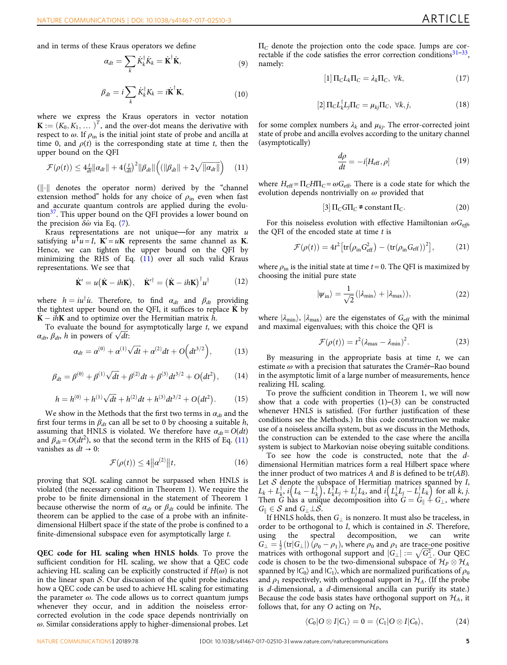<span id="page-4-0"></span>and in terms of these Kraus operators we define

$$
\alpha_{dt} = \sum_{k} \dot{K}_{k}^{\dagger} \dot{K}_{k} = \dot{\mathbf{K}}^{\dagger} \dot{\mathbf{K}}, \tag{9}
$$

$$
\beta_{dt} = i \sum_{k} \dot{K}_{k}^{\dagger} K_{k} = i \dot{\mathbf{K}}^{\dagger} \mathbf{K},
$$
\n(10)

where we express the Kraus operators in vector notation  $\mathbf{K} := (K_0, K_1, \dots)^T$ , and the over-dot means the derivative with respect to  $\omega$ . If  $\rho_{\text{in}}$  is the initial joint state of probe and ancilla at time 0, and  $\rho(t)$  is the corresponding state at time t, then the upper bound on the QFI

$$
\mathcal{F}(\rho(t)) \le 4 \frac{t}{dt} \| \alpha_{dt} \| + 4 \left( \frac{t}{dt} \right)^2 \| \beta_{dt} \| \left( ( \| \beta_{dt} \| + 2 \sqrt{\| \alpha_{dt} \|} ) \right) \tag{11}
$$

 $(||\cdot||)$  denotes the operator norm) derived by the "channel extension method" holds for any choice of  $\rho_{\text{in}}$  even when fast and accurate quantum controls are applied during the evolu-tion<sup>[37](#page-9-0)</sup>. This upper bound on the QFI provides a lower bound on the precision  $\delta \hat{\omega}$  via Eq. ([7](#page-3-0)).

Kraus representations are not unique—for any matrix  $u$ satisfying  $u^{\mathsf{T}}u = I$ ,  $\mathbf{K}' = u\mathbf{K}$  represents the same channel as **K**. Hence, we can tighten the upper bound on the QFI by minimizing the RHS of Eq. (11) over all such valid Kraus representations. We see that

$$
\dot{\mathbf{K}}' = u(\dot{\mathbf{K}} - i h \mathbf{K}), \quad \dot{\mathbf{K}}'^{\dagger} = (\dot{\mathbf{K}} - i h \mathbf{K})^{\dagger} u^{\dagger}
$$
(12)

where  $h = iu^{\dagger}u$ . Therefore, to find  $\alpha_{dt}$  and  $\beta_{dt}$  providing the tightest upper bound on the OFI it suffices to replace **K** by the tightest upper bound on the QFI, it suffices to replace  $K$  by  $\dot{K} - i\hbar K$  and to optimize over the Hermitian matrix  $\hat{h}$ .<br>To evaluate the bound for asymptotically large t w

To evaluate the bound for asymptotically large  $t$ , we expand  $\alpha_{dt}$ ,  $\beta_{dt}$ , h in powers of  $\sqrt{dt}$ :

$$
\alpha_{dt} = \alpha^{(0)} + \alpha^{(1)}\sqrt{dt} + \alpha^{(2)}dt + O\Big(dt^{3/2}\Big), \tag{13}
$$

$$
\beta_{dt} = \beta^{(0)} + \beta^{(1)}\sqrt{dt} + \beta^{(2)}dt + \beta^{(3)}dt^{3/2} + O(dt^2), \qquad (14)
$$

$$
h = h^{(0)} + h^{(1)}\sqrt{dt} + h^{(2)}dt + h^{(3)}dt^{3/2} + O(dt^2).
$$
 (15)

We show in the Methods that the first two terms in  $\alpha_{dt}$  and the first four terms in  $\beta_{dt}$  can all be set to 0 by choosing a suitable h, assuming that HNLS is violated. We therefore have  $\alpha_{dt} = O(dt)$ and  $\beta_{dt} = O(dt^2)$ , so that the second term in the RHS of Eq. (11) vanishes as  $dt \rightarrow 0$ :

$$
\mathcal{F}(\rho(t)) \le 4\|\alpha^{(2)}\|t,\tag{16}
$$

proving that SQL scaling cannot be surpassed when HNLS is violated (the necessary condition in Theorem 1). We require the probe to be finite dimensional in the statement of Theorem 1 because otherwise the norm of  $\alpha_{dt}$  or  $\beta_{dt}$  could be infinite. The theorem can be applied to the case of a probe with an infinitedimensional Hilbert space if the state of the probe is confined to a finite-dimensional subspace even for asymptotically large t.

QEC code for HL scaling when HNLS holds. To prove the sufficient condition for HL scaling, we show that a QEC code achieving HL scaling can be explicitly constructed if  $H(\omega)$  is not in the linear span  $S$ . Our discussion of the qubit probe indicates how a QEC code can be used to achieve HL scaling for estimating the parameter  $\omega$ . The code allows us to correct quantum jumps whenever they occur, and in addition the noiseless errorcorrected evolution in the code space depends nontrivially on  $\omega$ . Similar considerations apply to higher-dimensional probes. Let

 $\Pi_{\rm C}$  denote the projection onto the code space. Jumps are correctable if the code satisfies the error correction conditions $31-33$  $31-33$ , namely:

$$
[1]\,\Pi_C L_k\Pi_C = \lambda_k\Pi_C, \,\forall k,\tag{17}
$$

$$
[2]\Pi_C L_k^{\dagger} L_j \Pi_C = \mu_{kj} \Pi_C, \ \forall k, j,
$$
\n(18)

for some complex numbers  $\lambda_k$  and  $\mu_{ki}$ . The error-corrected joint state of probe and ancilla evolves according to the unitary channel (asymptotically)

$$
\frac{d\rho}{dt} = -i[H_{\text{eff}}, \rho] \tag{19}
$$

where  $H_{\text{eff}} = \Pi_C H \Pi_C = \omega G_{\text{eff}}$ . There is a code state for which the evolution depends nontrivially on  $\omega$  provided that

$$
[3]\Pi_C G\Pi_C \neq \text{constant}\,\Pi_C. \tag{20}
$$

For this noiseless evolution with effective Hamiltonian  $\omega G_{\text{eff}}$ the QFI of the encoded state at time  $t$  is

$$
\mathcal{F}(\rho(t)) = 4t^2 \left[ \text{tr}(\rho_{\text{in}} G_{\text{eff}}^2) - (\text{tr}(\rho_{\text{in}} G_{\text{eff}}))^2 \right],\tag{21}
$$

where  $\rho_{\text{in}}$  is the initial state at time  $t = 0$ . The QFI is maximized by choosing the initial pure state

$$
|\psi_{\rm in}\rangle = \frac{1}{\sqrt{2}} (|\lambda_{\rm min}\rangle + |\lambda_{\rm max}\rangle), \tag{22}
$$

where  $|\lambda_{\min}\rangle$ ,  $|\lambda_{\max}\rangle$  are the eigenstates of  $G_{\text{eff}}$  with the minimal and maximal eigenvalues; with this choice the QFI is

$$
\mathcal{F}(\rho(t)) = t^2 (\lambda_{\text{max}} - \lambda_{\text{min}})^2.
$$
 (23)

By measuring in the appropriate basis at time  $t$ , we can estimate  $\omega$  with a precision that saturates the Cramér–Rao bound in the asymptotic limit of a large number of measurements, hence realizing HL scaling.

To prove the sufficient condition in Theorem 1, we will now show that a code with properties  $(1)$ – $(3)$  can be constructed whenever HNLS is satisfied. (For further justification of these conditions see the Methods.) In this code construction we make use of a noiseless ancilla system, but as we discuss in the Methods, the construction can be extended to the case where the ancilla system is subject to Markovian noise obeying suitable conditions.

To see how the code is constructed, note that the ddimensional Hermitian matrices form a real Hilbert space where the inner product of two matrices  $A$  and  $B$  is defined to be tr( $AB$ ). Let S denote the subspace of Hermitian matrices spanned by I,<br> $L_1 + L_2^{\dagger}$  if  $L_2 - L_3^{\dagger}$ ,  $L_3^{\dagger}$   $L_4 + L_4^{\dagger}$   $L_5$  and if  $L_4^{\dagger}$   $L_5 - L_4^{\dagger}$   $L_6$  for all k i  $L_k + L_k^{\dagger}$ ,  $i(L_k - L_k^{\dagger})$ ,  $L_k^{\dagger}L_j + L_j^{\dagger}L_k$ , and  $i(L_k^{\dagger}L_j - L_j^{\dagger}L_k)$  for all k, j.<br>Then G has a unique decomposition into  $G = G_{\mu} + G_{\mu}$ , where Then G has a unique decomposition into  $G = G_{\parallel} + G_{\perp}$ , where  $G_{\parallel} \in \mathcal{S}$  and  $G_{\perp} \perp \mathcal{S}$ .

If HNLS holds, then  $G_{\perp}$  is nonzero. It must also be traceless, in order to be orthogonal to I, which is contained in  $S$ . Therefore, using the spectral decomposition, we can write  $G_{\perp} = \frac{1}{2} (\text{tr}|G_{\perp}|) (\rho_0 - \rho_1)$ , where  $\rho_0$  and  $\rho_1$  are trace-one positive<br>matrices with orthogonal support and  $|G_{\perp}| := \sqrt{G_{\perp}^2}$ . Our OEC matrices with orthogonal support and  $|G_{\perp}| := \sqrt{G_{\perp}^2}$ . Our QEC code is chosen to be the two-dimensional subspace of  $\mathcal{H}_p \otimes \mathcal{H}_A$ code is chosen to be the two-dimensional subspace of  $\mathcal{H}_P \otimes \mathcal{H}_A$ <br>spanned by  $|C_0\rangle$  and  $|C_1\rangle$ , which are normalized purifications of  $\alpha$ spanned by  $|C_0\rangle$  and  $|C_1\rangle$ , which are normalized purifications of  $\rho_0$ and  $\rho_1$  respectively, with orthogonal support in  $\mathcal{H}_{A}$ . (If the probe is d-dimensional, a d-dimensional ancilla can purify its state.) Because the code basis states have orthogonal support on  $\mathcal{H}_A$ , it follows that, for any O acting on  $\mathcal{H}_P$ ,

$$
\langle C_0|O\otimes I|C_1\rangle=0=\langle C_1|O\otimes I|C_0\rangle,\qquad\qquad(24)
$$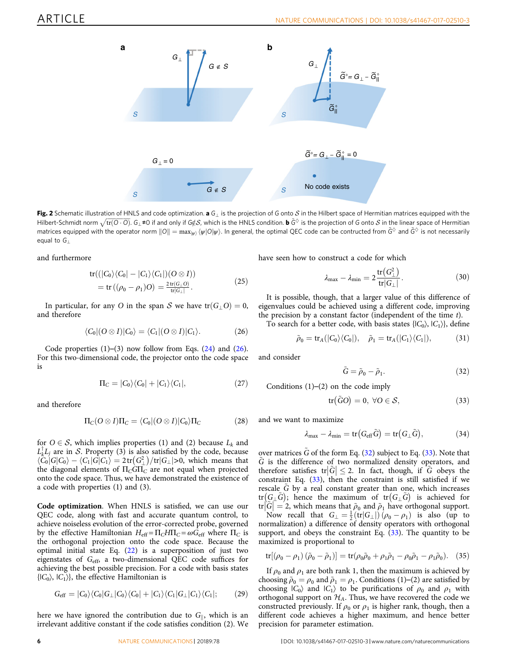<span id="page-5-0"></span>

Fig. 2 Schematic illustration of HNLS and code optimization. a  $G_{\perp}$  is the projection of G onto S in the Hilbert space of Hermitian matrices equipped with the Hilbert-Schmidt norm  $\sqrt{\text{tr}(\mathbf{O} \cdot \mathbf{O})}$ .  $G_{\perp}$  ≠0 if and only if G¢*S*, which is the HNLS condition. **b**  $\tilde{G}^{\lozenge}$  is the projection of G onto *S* in the linear space of Hermitian matrices equipped with the matrices equipped with the operator norm  $||O|| = \max_{w} \langle \psi|O|\psi\rangle$ . In general, the optimal QEC code can be contructed from  $\tilde{G}^{\lozenge}$  and  $\tilde{G}^{\lozenge}$  is not necessarily equal to  $G<sub>1</sub>$ 

and furthermore

$$
tr((|C_0\rangle\langle C_0| - |C_1\rangle\langle C_1|)(O \otimes I))
$$
  
= tr ((\rho\_0 - \rho\_1)O) =  $\frac{2 \text{ tr}(G_\perp O)}{\text{ tr}|G_\perp|}$ . (25)

In particular, for any O in the span S we have  $tr(G \mid O) = 0$ , and therefore

$$
\langle C_0 | (O \otimes I) | C_0 \rangle = \langle C_1 | (O \otimes I) | C_1 \rangle. \tag{26}
$$

Code properties  $(1)$ – $(3)$  now follow from Eqs.  $(24)$  $(24)$  and  $(26)$ . For this two-dimensional code, the projector onto the code space is

$$
\Pi_C = |C_0\rangle\langle C_0| + |C_1\rangle\langle C_1|,\tag{27}
$$

and therefore

$$
\Pi_C(O \otimes I)\Pi_C = \langle C_0 | (O \otimes I) | C_0 \rangle \Pi_C \tag{28}
$$

for  $O \in \mathcal{S}$ , which implies properties (1) and (2) because  $L_k$  and  $L_L^{\dagger}L_j$  are in S. Property (3) is also satisfied by the code, because  $\langle C_0 | G | C_0 \rangle = \langle C_1 | G | C_1 \rangle = 2 \text{ tr}(G^2) / \text{ tr}|G_1| > 0$ , which means that  $\langle C_0|G|C_0\rangle -$ the diagonal  $\langle C_1 | G | C_1 \rangle = 2 \text{tr} \left( G_{\perp}^2 \right) / \text{tr} | G_{\perp} | > 0$ , which means that elements of  $\Pi_{\text{G}} G \Pi_{\text{G}}$  are not equal when projected the diagonal elements of  $\Pi_{C}\overline{\mathrm{G}\Pi_{C}}$  are not equal when projected onto the code space. Thus, we have demonstrated the existence of a code with properties (1) and (3).

Code optimization. When HNLS is satisfied, we can use our QEC code, along with fast and accurate quantum control, to achieve noiseless evolution of the error-corrected probe, governed by the effective Hamiltonian  $H_{\text{eff}} = \Pi_C H \Pi_C = \omega G_{\text{eff}}$  where  $\Pi_C$  is the orthogonal projection onto the code space. Because the optimal initial state Eq.  $(22)$  is a superposition of just two eigenstates of Geff, a two-dimensional QEC code suffices for achieving the best possible precision. For a code with basis states  ${C_0}$ ,  ${C_1}$ , the effective Hamiltonian is

$$
G_{\rm eff} = |C_0\rangle\langle C_0|G_{\perp}|C_0\rangle\langle C_0| + |C_1\rangle\langle C_1|G_{\perp}|C_1\rangle\langle C_1|; \qquad (29)
$$

here we have ignored the contribution due to  $G_{\parallel}$ , which is an irrelevant additive constant if the code satisfies condition (2). We have seen how to construct a code for which

$$
\lambda_{\max} - \lambda_{\min} = 2 \frac{\text{tr}\left(G_{\perp}^2\right)}{\text{tr}\left|G_{\perp}\right|}.
$$
 (30)

It is possible, though, that a larger value of this difference of eigenvalues could be achieved using a different code, improving the precision by a constant factor (independent of the time  $t$ ).

To search for a better code, with basis states  $\{|C_0\rangle, |C_1\rangle\}$ , define

$$
\tilde{\rho}_0 = \operatorname{tr}_A(|C_0\rangle\langle C_0|), \quad \tilde{\rho}_1 = \operatorname{tr}_A(|C_1\rangle\langle C_1|), \tag{31}
$$

and consider

$$
\tilde{G} = \tilde{\rho}_0 - \tilde{\rho}_1. \tag{32}
$$

Conditions  $(1)$ – $(2)$  on the code imply

$$
tr(\tilde{G}O) = 0, \ \forall O \in \mathcal{S}, \tag{33}
$$

and we want to maximize

$$
\lambda_{\max} - \lambda_{\min} = \text{tr}\big(G_{\text{eff}}\tilde{G}\big) = \text{tr}\big(G_{\perp}\tilde{G}\big),\tag{34}
$$

over matrices  $\tilde{G}$  of the form Eq. (32) subject to Eq. (33). Note that G is the difference of two normalized density operators, and therefore satisfies tr $|\tilde{G}| \leq 2$ . In fact, though, if  $\tilde{G}$  obeys the constraint Eq. (33), then the constraint is still satisfied if we constraint Eq.  $(33)$ , then the constraint is still satisfied if we rescale G by a real constant greater than one, which increases  $tr(G_{\perp}\tilde{G})$ ; hence the maximum of  $tr(G_{\perp}\tilde{G})$  is achieved for tr $|\tilde{G}| = 2$ , which means that  $\rho_0$  and  $\rho_1$  have orthogonal support.<br>Now recall that  $G_1 = \frac{1}{\pi} (tr(G_1)) (\rho_2 - \rho_1)$  is also (up to

Now recall that  $G_{\perp} = \frac{1}{2} (\text{tr}|G_{\perp}|) (\rho_0 - \rho_1)$  is also (up to reproduced up to represent the production addition of density operators with orthogonal normalization) a difference of density operators with orthogonal support, and obeys the constraint Eq.  $(33)$ . The quantity to be maximized is proportional to

$$
\text{tr}[(\rho_0 - \rho_1)(\tilde{\rho}_0 - \tilde{\rho}_1)] = \text{tr}(\rho_0 \tilde{\rho}_0 + \rho_1 \tilde{\rho}_1 - \rho_0 \tilde{\rho}_1 - \rho_1 \tilde{\rho}_0). \quad (35)
$$

If  $\rho_0$  and  $\rho_1$  are both rank 1, then the maximum is achieved by choosing  $\tilde{\rho}_0 = \rho_0$  and  $\tilde{\rho}_1 = \rho_1$ . Conditions (1)–(2) are satisfied by choosing  $|C_0\rangle$  and  $|C_1\rangle$  to be purifications of  $\rho_0$  and  $\rho_1$  with orthogonal support on  $\mathcal{H}_A$ . Thus, we have recovered the code we constructed previously. If  $\rho_0$  or  $\rho_1$  is higher rank, though, then a different code achieves a higher maximum, and hence better precision for parameter estimation.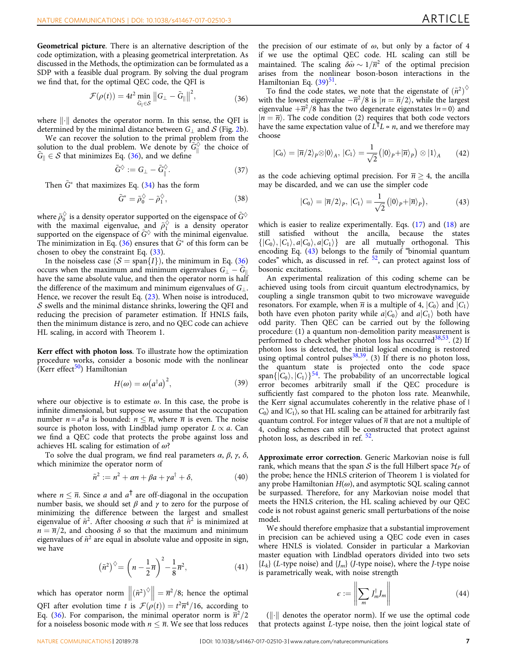Geometrical picture. There is an alternative description of the code optimization, with a pleasing geometrical interpretation. As discussed in the Methods, the optimization can be formulated as a SDP with a feasible dual program. By solving the dual program we find that, for the optimal QEC code, the QFI is

$$
\mathcal{F}(\rho(t)) = 4t^2 \min_{\tilde{G}_{\parallel} \in \mathcal{S}} \|G_{\perp} - \tilde{G}_{\parallel}\|^2, \tag{36}
$$

where  $\left\| \cdot \right\|$  denotes the operator norm. In this sense, the QFI is determined by the minimal distance between  $G_1$  and  $S$  (Fig. [2b](#page-5-0)).

We can recover the solution to the primal problem from the solution to the dual problem. We denote by  $\widetilde{G}^{\lozenge}_{\parallel}$  the choice of  $\widetilde{G}_{\parallel} \in S$  that minimizes Eq. (36), and we define  $G_{\parallel} \in S$  that minimizes Eq. (36), and we define

$$
\tilde{G}^{\diamondsuit} := G_{\perp} - \tilde{G}_{\parallel}^{\diamondsuit}.
$$
 (37)

Then  $\tilde{G}^*$  that maximizes Eq. ([34\)](#page-5-0) has the form

$$
\tilde{G}^* = \tilde{\rho}_0^\diamondsuit - \tilde{\rho}_1^\diamondsuit,\tag{38}
$$

where  $\tilde{\rho}_0^{\Diamond}$  is a density operator supported on the eigenspace of  $\tilde{\mathrm{G}}^{\Diamond}$ with the maximal eigenvalue, and  $\tilde{\rho}_1^{\vee}$  is a density operator supported on the eigenspace of  $\tilde{G}^{\diamondsuit}$  with the minimal eigenvalue. The minimization in Eq.  $(36)$  ensures that  $\tilde{G}^*$  of this form can be chosen to obey the constraint Eq. [\(33\)](#page-5-0).

In the noiseless case  $(S = \text{span}{I})$ , the minimum in Eq. (36) occurs when the maximum and minimum eigenvalues  $G_{\perp} - \tilde{G}_{\parallel}$ <br>have the same absolute value, and then the operator norm is half have the same absolute value, and then the operator norm is half the difference of the maximum and minimum eigenvalues of  $G_{\perp}$ . Hence, we recover the result Eq. ([23\)](#page-4-0). When noise is introduced,  $S$  swells and the minimal distance shrinks, lowering the QFI and reducing the precision of parameter estimation. If HNLS fails, then the minimum distance is zero, and no QEC code can achieve HL scaling, in accord with Theorem 1.

Kerr effect with photon loss. To illustrate how the optimization procedure works, consider a bosonic mode with the nonlinear (Kerr effect $50$ ) Hamiltonian

$$
H(\omega) = \omega (a^{\dagger} a)^2, \tag{39}
$$

where our objective is to estimate  $\omega$ . In this case, the probe is infinite dimensional, but suppose we assume that the occupation number  $n = a^{\dagger} a$  is bounded:  $n \leq \overline{n}$ , where  $\overline{n}$  is even. The noise source is photon loss, with Lindblad jump operator  $L \propto a$ . Can we find a QEC code that protects the probe against loss and achieves HL scaling for estimation of  $\omega$ ?

To solve the dual program, we find real parameters  $\alpha$ ,  $\beta$ ,  $\gamma$ ,  $\delta$ , which minimize the operator norm of

$$
\tilde{n}^2 := n^2 + \alpha n + \beta a + \gamma a^\dagger + \delta,\tag{40}
$$

where  $n \leq \overline{n}$ . Since a and  $a^{\dagger}$  are off-diagonal in the occupation number basis, we should set  $\beta$  and  $\gamma$  to zero for the purpose of minimizing the difference between the largest and smallest eigenvalue of  $\tilde{n}^2$ . After choosing  $\alpha$  such that  $\tilde{n}^2$  is minimized at  $n = \overline{n}/2$ , and choosing  $\delta$  so that the maximum and minimum eigenvalues of  $\tilde{n}^2$  are equal in absolute value and opposite in sign, we have

$$
\left(\tilde{n}^2\right)^{\diamondsuit} = \left(n - \frac{1}{2}\overline{n}\right)^2 - \frac{1}{8}\overline{n}^2,\tag{41}
$$

which has operator norm  $\left\| \left( \tilde{n}^{2} \right)^{\diamond} \right\|$  $\|\bar{n}^2/8$ ; hence the optimal QFI after evolution time t is  $\mathcal{F}(\rho(t)) = t^2 \overline{n}^4/16$ , according to Eq. (36). For comparison, the minimal operator norm is  $\overline{n}^2/2$ Eq. (36). For comparison, the minimal operator norm is  $\overline{n}^2/2$ for a noiseless bosonic mode with  $n \leq \overline{n}$ . We see that loss reduces the precision of our estimate of  $\omega$ , but only by a factor of 4 if we use the optimal QEC code. HL scaling can still be maintained. The scaling  $\delta \hat{\omega} \sim 1/\overline{n}^2$  of the optimal precision arises from the nonlinear boson-boson interactions in the Hamiltonian Eq. ([39\)](#page-10-0)<sup>[51](#page-10-0)</sup>.

To find the code states, we note that the eigenstate of  $(\tilde{n}^2)^\diamond$ with the lowest eigenvalue  $-\overline{n}^2/8$  is  $|n = \overline{n}/2\rangle$ , while the largest<br>eigenvalue  $+\overline{n}^2/8$  has the two degenerate eigenstates  $|n = 0\rangle$  and eigenvalue  $+\overline{n}^2/8$  has the two degenerate eigenstates  $|n = 0\rangle$  and  $|n = \overline{n}$ . The code condition (2) requires that both code vectors have the same expectation value of  $L^{\dagger}L \propto n$ , and we therefore may choose

$$
|C_0\rangle = |\overline{n}/2\rangle_P \otimes |0\rangle_A, |C_1\rangle = \frac{1}{\sqrt{2}} (|0\rangle_P + |\overline{n}\rangle_P) \otimes |1\rangle_A \qquad (42)
$$

as the code achieving optimal precision. For  $\overline{n} \geq 4$ , the ancilla may be discarded, and we can use the simpler code

$$
|C_0\rangle = |\overline{n}/2\rangle_P, |C_1\rangle = \frac{1}{\sqrt{2}} (|0\rangle_P + |\overline{n}\rangle_P), \qquad (43)
$$

which is easier to realize experimentally. Eqs. [\(17](#page-4-0)) and [\(18](#page-4-0)) are still satisfied without the ancilla, because the states  $\{|C_0\rangle, |C_1\rangle, a|C_0\rangle, a|C_1\rangle\}$  are all mutually orthogonal. This encoding Eq. (43) belongs to the family of "binomial quantum codes" which, as discussed in ref. [52](#page-10-0), can protect against loss of bosonic excitations.

An experimental realization of this coding scheme can be achieved using tools from circuit quantum electrodynamics, by coupling a single transmon qubit to two microwave waveguide resonators. For example, when  $\overline{n}$  is a multiple of 4,  $|C_0\rangle$  and  $|C_1\rangle$ both have even photon parity while  $a|C_0\rangle$  and  $a|C_1\rangle$  both have odd parity. Then QEC can be carried out by the following procedure: (1) a quantum non-demolition parity measurement is performed to check whether photon loss has occurred<sup>38,53</sup>. (2) If photon loss is detected, the initial logical encoding is restored using optimal control pulses<sup>[38](#page-10-0),39</sup>. (3) If there is no photon loss, the quantum state is projected onto the code space span $\{ \vert C_0 \rangle, \vert C_1 \rangle \}^{54}$ . The probability of an uncorrectable logical error becomes arbitrarily small if the QEC procedure is sufficiently fast compared to the photon loss rate. Meanwhile, the Kerr signal accumulates coherently in the relative phase of |  $C_0$  and  $|C_1\rangle$ , so that HL scaling can be attained for arbitrarily fast quantum control. For integer values of  $\overline{n}$  that are not a multiple of 4, coding schemes can still be constructed that protect against photon loss, as described in ref. [52](#page-10-0).

Approximate error correction. Generic Markovian noise is full rank, which means that the span S is the full Hilbert space  $\mathcal{H}_P$  of the probe; hence the HNLS criterion of Theorem 1 is violated for any probe Hamiltonian  $H(\omega)$ , and asymptotic SQL scaling cannot be surpassed. Therefore, for any Markovian noise model that meets the HNLS criterion, the HL scaling achieved by our QEC code is not robust against generic small perturbations of the noise model.

We should therefore emphasize that a substantial improvement in precision can be achieved using a QEC code even in cases where HNLS is violated. Consider in particular a Markovian master equation with Lindblad operators divided into two sets  ${L_k}$  (L-type noise) and  ${J_m}$  (J-type noise), where the J-type noise is parametrically weak, with noise strength

$$
\epsilon := \left\| \sum_{m} J_{m}^{\dagger} J_{m} \right\| \tag{44}
$$

 $\left( \left\Vert \cdot \right\Vert \right)$  denotes the operator norm). If we use the optimal code that protects against L-type noise, then the joint logical state of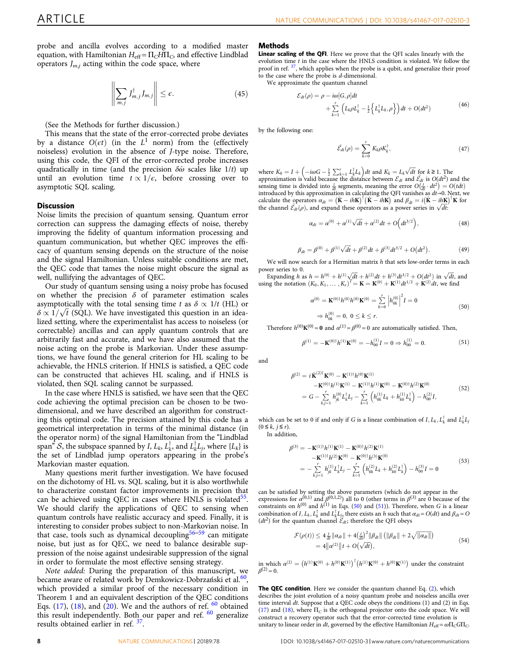probe and ancilla evolves according to a modified master equation, with Hamiltonian  $H_{\text{eff}} = \Pi_C H \Pi_C$ , and effective Lindblad operators  $J_{m,i}$  acting within the code space, where

$$
\left\| \sum_{m,j} J_{m,j}^{\dagger} J_{m,j} \right\| \le \epsilon. \tag{45}
$$

(See the Methods for further discussion.)

This means that the state of the error-corrected probe deviates by a distance  $O(\epsilon t)$  (in the  $L^1$  norm) from the (effectively noiseless) evolution in the absence of J-type noise. Therefore, using this code, the QFI of the error-corrected probe increases quadratically in time (and the precision  $\delta\hat{\omega}$  scales like 1/t) up until an evolution time  $t \propto 1/\epsilon$ , before crossing over to asymptotic SQL scaling.

#### **Discussion**

Noise limits the precision of quantum sensing. Quantum error correction can suppress the damaging effects of noise, thereby improving the fidelity of quantum information processing and quantum communication, but whether QEC improves the efficacy of quantum sensing depends on the structure of the noise and the signal Hamiltonian. Unless suitable conditions are met, the QEC code that tames the noise might obscure the signal as well, nullifying the advantages of QEC.

Our study of quantum sensing using a noisy probe has focused on whether the precision  $\delta$  of parameter estimation scales asymptotically with the total sensing time t as  $\delta \propto 1/t$  (HL) or  $\delta \propto 1/\sqrt{t}$  (SQL). We have investigated this question in an idea-<br>lized setting, where the experimentalist has access to noiseless (or lized setting, where the experimentalist has access to noiseless (or correctable) ancillas and can apply quantum controls that are arbitrarily fast and accurate, and we have also assumed that the noise acting on the probe is Markovian. Under these assumptions, we have found the general criterion for HL scaling to be achievable, the HNLS criterion. If HNLS is satisfied, a QEC code can be constructed that achieves HL scaling, and if HNLS is violated, then SQL scaling cannot be surpassed.

In the case where HNLS is satisfied, we have seen that the QEC code achieving the optimal precision can be chosen to be twodimensional, and we have described an algorithm for constructing this optimal code. The precision attained by this code has a geometrical interpretation in terms of the minimal distance (in the operator norm) of the signal Hamiltonian from the "Lindblad span" S, the subspace spanned by I,  $L_k$ ,  $L_k^{\dagger}$ , and  $L_k^{\dagger}L_j$ , where  $\{L_k\}$  is the set of Lindblad jump operators appearing in the probe's the set of Lindblad jump operators appearing in the probe's Markovian master equation.

Many questions merit further investigation. We have focused on the dichotomy of HL vs. SQL scaling, but it is also worthwhile to characterize constant factor improvements in precision that can be achieved using QEC in cases where HNLS is violated<sup>55</sup>. We should clarify the applications of QEC to sensing when quantum controls have realistic accuracy and speed. Finally, it is interesting to consider probes subject to non-Markovian noise. In that case, tools such as dynamical decoupling<sup>[56](#page-10-0)–[59](#page-10-0)</sup> can mitigate noise, but just as for QEC, we need to balance desirable suppression of the noise against undesirable suppression of the signal in order to formulate the most effective sensing strategy.

Note added: During the preparation of this manuscript, we became aware of related work by Demkowicz-Dobrzański et al.<sup>60</sup>, which provided a similar proof of the necessary condition in Theorem 1 and an equivalent description of the QEC conditions Eqs.  $(17)$  $(17)$ ,  $(18)$  $(18)$ , and  $(20)$  $(20)$ . We and the authors of ref.  $60$  obtained this result independently. Both our paper and ref.  $60$  generalize results obtained earlier in ref. [37.](#page-9-0)

#### Methods

Linear scaling of the QFI. Here we prove that the QFI scales linearly with the evolution time t in the case where the HNLS condition is violated. We follow the proof in ref. <sup>[37](#page-9-0)</sup>, which applies when the probe is a qubit, and generalize their proof to the case where the probe is  $d$ -dimensional. We approximate the quantum channel

$$
\mathcal{E}_{dt}(\rho) = \rho - i\omega[G,\rho]dt + \sum_{k=1}^{r} \left( L_k \rho L_k^{\dagger} - \frac{1}{2} \left\{ L_k^{\dagger} L_k, \rho \right\} \right) dt + O(dt^2)
$$
(46)

by the following one:

$$
\tilde{\mathcal{E}}_{dt}(\rho) = \sum_{k=0}^{r} K_k \rho K_k^{\dagger}, \qquad (47)
$$

where  $K_0 = I + \left(-i\omega G - \frac{1}{2} \sum_{k=1}^r L_k^{\dagger} L_k\right) dt$  and  $K_k = L_k \sqrt{dt}$  for  $k \ge 1$ . The<br>approximation is valid because the distance between  $\mathcal{E}_{dt}$  and  $\tilde{\mathcal{E}}_{dt}$  is  $O(dt^2)$  and the<br>sensing time is divided into  $\frac{t$ introduced by this approximation in calculating the QFI vanishes as  $dt\rightarrow 0$ . Next, we calculate the operators  $\alpha_{dt} = (\dot{\mathbf{K}} - i\hbar \mathbf{K})^{\dagger} (\dot{\mathbf{K}} - i\hbar \mathbf{K})$  and  $\beta_{dt} = i(\dot{\mathbf{K}} - i\hbar \mathbf{K})^{\dagger} \mathbf{K}$  for the channel  $\tilde{\mathcal{E}}_{\mu}(\rho)$  and expand these operators as a power series in  $\sqrt{dt}$ . the channel  $\tilde{\mathcal{E}_{dt}}(\rho)$ , and expand these operators as a power series in  $\sqrt{dt}$ :

$$
\alpha_{dt} = \alpha^{(0)} + \alpha^{(1)}\sqrt{dt} + \alpha^{(2)}dt + O\Big(dt^{3/2}\Big),\tag{48}
$$

$$
\beta_{dt} = \beta^{(0)} + \beta^{(1)}\sqrt{dt} + \beta^{(2)}dt + \beta^{(3)}dt^{3/2} + O(dt^2).
$$
 (49)

We will now search for a Hermitian matrix h that sets low-order terms in each power series to 0.

Expanding h as  $h = h^{(0)} + h^{(1)}\sqrt{dt} + h^{(2)}dt + h^{(3)}dt^{3/2} + O(dt^2)$  in  $\sqrt{dt}$ , and the notation  $(K_0, K_1, K_2)^T = \mathbf{K} = \mathbf{K}^{(0)} + \mathbf{K}^{(1)}dt^{1/2} + \mathbf{K}^{(2)}dt$ , we find using the notation  $(K_0, K_1, ..., K_r)^T = \mathbf{K} = \mathbf{K}^{(0)} + \mathbf{K}^{(1)} dt^{1/2} + \mathbf{K}^{(2)} dt$ , we find

$$
\alpha^{(0)} = \mathbf{K}^{(0) \dagger} h^{(0)} h^{(0)} \mathbf{K}^{(0)} = \sum_{k=0}^{r} \left| h_{0k}^{(0)} \right|^2 I = 0
$$
  
\n
$$
\Rightarrow h_{0k}^{(0)} = 0, \ 0 \le k \le r.
$$
\n(50)

Therefore  $h^{(0)}\mathbf{K}^{(0)} = \mathbf{0}$  and  $\alpha^{(1)} = \beta^{(0)} = 0$  are automatically satisfied. Then,

$$
\beta^{(1)} = -\mathbf{K}^{(0)\dagger}h^{(1)}\mathbf{K}^{(0)} = -h_{00}^{(1)}I = 0 \Rightarrow h_{00}^{(1)} = 0.
$$
 (51)

and

$$
\beta^{(2)} = i \dot{\mathbf{K}}^{(2) \dagger} \mathbf{K}^{(0)} - \mathbf{K}^{(1) \dagger} h^{(0)} \mathbf{K}^{(1)} \n- \mathbf{K}^{(0) \dagger} h^{(1)} \mathbf{K}^{(1)} - \mathbf{K}^{(1) \dagger} h^{(1)} \mathbf{K}^{(0)} - \mathbf{K}^{(0) \dagger} h^{(2)} \mathbf{K}^{(0)} \n= G - \sum_{k,j=1}^{r} h_{jk}^{(0)} L_{k}^{\dagger} L_{j} - \sum_{k=1}^{r} \left( h_{0k}^{(1)} L_{k} + h_{k0}^{(1)} L_{k}^{\dagger} \right) - h_{00}^{(2)} I,
$$
\n(52)

which can be set to 0 if and only if G is a linear combination of  $I, L_k, L_k^{\dagger}$  and  $L_k^{\dagger}L_j$  $(0 \leq k, j \leq r).$ 

In addition,

$$
\beta^{(3)} = -\mathbf{K}^{(1)\dagger}h^{(1)}\mathbf{K}^{(1)} - \mathbf{K}^{(0)\dagger}h^{(2)}\mathbf{K}^{(1)} \n- \mathbf{K}^{(1)\dagger}h^{(2)}\mathbf{K}^{(0)} - \mathbf{K}^{(0)\dagger}h^{(3)}\mathbf{K}^{(0)} \n= -\sum_{k,j=1}^{r} h_{jk}^{(1)}L_{k}^{\dagger}L_{j} - \sum_{k=1}^{r} \left( h_{0k}^{(2)}L_{k} + h_{k0}^{(2)}L_{k}^{\dagger} \right) - h_{00}^{(3)}I = 0
$$
\n(53)

can be satisfied by setting the above parameters (which do not appear in the expressions for  $\alpha^{(0,1)}$  and  $\beta^{(0,1,2)}$ ) all to 0 (other terms in  $\beta^{(3)}$  are 0 because of the constraints on  $h^{(0)}$  and  $h^{(1)}$  in Eqs. (50) and (51)). Therefore, when G is a linear combination of I,  $L_k$ ,  $L_k^{\dagger}$  and  $L_k^{\dagger}L_{j_2}$  there exists an h such that  $\alpha_{dt} = O(dt)$  and  $\beta_{dt} = C$  $(dt^2)$  for the quantum channel  $\mathcal{E}_{dt}$ ; therefore the QFI obeys

$$
\mathcal{F}(\rho(t)) \le 4 \frac{t}{dt} ||a_{dt}|| + 4 \frac{t}{dt} \Big|^2 ||\beta_{dt}|| \left( ||\beta_{dt}|| + 2\sqrt{||a_{dt}||} \right) \n= 4 ||a^{(2)}||t + O(\sqrt{dt}),
$$
\n(54)

in which  $\alpha^{(2)} = (h^{(1)}\mathbf{K}^{(0)} + h^{(0)}\mathbf{K}^{(1)})^\dagger (h^{(1)}\mathbf{K}^{(0)} + h^{(0)}\mathbf{K}^{(1)})$  under the constraint  $\beta^{(2)} = 0.$ 

The QEC condition. Here we consider the quantum channel Eq. [\(2](#page-2-0)), which describes the joint evolution of a noisy quantum probe and noiseless ancilla over time interval  $dt$ . Suppose that a QEC code obeys the conditions  $(1)$  and  $(2)$  in Eqs. [\(17](#page-4-0)) and ([18\)](#page-4-0), where  $\Pi_C$  is the orthogonal projector onto the code space. We will construct a recovery operator such that the error-corrected time evolution is unitary to linear order in dt, governed by the effective Hamiltonian  $H_{\text{eff}} = \omega \Pi_C G \Pi_C$ .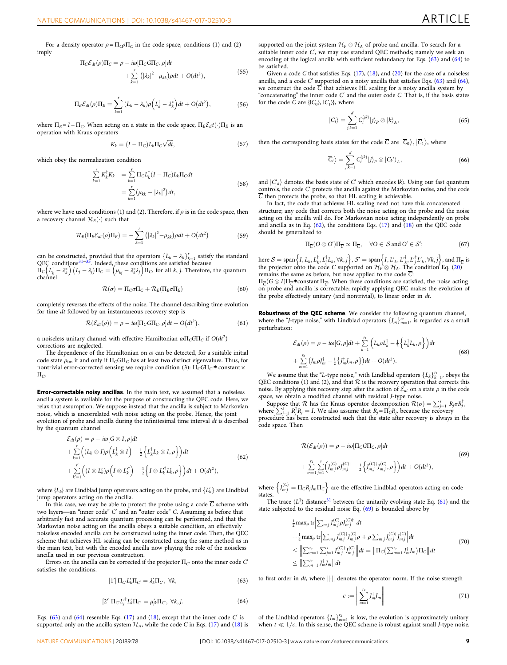For a density operator  $\rho = \Pi_Q \rho \Pi_C$  in the code space, conditions (1) and (2) imply

$$
\Pi_C \mathcal{E}_{dt}(\rho) \Pi_C = \rho - i\omega [\Pi_C \text{G} \Pi_C, \rho] dt + \sum_{k=1}^r (|\lambda_k|^2 - \mu_{kk}) \rho dt + O(dt^2),
$$
\n(55)

$$
\Pi_E \mathcal{E}_{dt}(\rho) \Pi_E = \sum_{k=1}^r (L_k - \lambda_k) \rho \left( L_k^{\dagger} - \lambda_k^* \right) dt + O(dt^2), \tag{56}
$$

where  $\Pi_E = I - \Pi_C$ . When acting on a state in the code space,  $\Pi_E \mathcal{E}_d t(\cdot) \Pi_E$  is an operation with Kraus operators

$$
K_k = (I - \Pi_C)L_k\Pi_C\sqrt{dt},\qquad(57)
$$

which obey the normalization condition

$$
\sum_{k=1}^{r} K_{k}^{\dagger} K_{k} = \sum_{k=1}^{r} \Pi_{C} L_{k}^{\dagger} (I - \Pi_{C}) L_{k} \Pi_{C} dt
$$
\n
$$
= \sum_{k=1}^{r} (\mu_{kk} - |\lambda_{k}|^{2}) dt,
$$
\n(58)

where we have used conditions (1) and (2). Therefore, if  $\rho$  is in the code space, then a recovery channel  $\mathcal{R}_E(\cdot)$  such that

$$
\mathcal{R}_E(\Pi_E \mathcal{E}_{dt}(\rho) \Pi_E) = -\sum_{k=1}^r (|\lambda_k|^2 - \mu_{kk}) \rho dt + O(dt^2)
$$
\n(59)

can be constructed, provided that the operators  $\{L_k - \lambda_k\}_{k=1}^r$  satisfy the standard QEC conditions<sup>[31](#page-9-0)–33</sup>. Indeed, these conditions are satisfied because  $\Pi_C (L_k^{\dagger} - \lambda_k^*) (L_j - \lambda_j) \Pi_C = (\mu_{kj} - \lambda_k^* \lambda_j) \Pi_C$ , for all k, j. Therefore, the quantum channel channel

$$
\mathcal{R}(\sigma) = \Pi_C \sigma \Pi_C + \mathcal{R}_E (\Pi_E \sigma \Pi_E)
$$
\n(60)

completely reverses the effects of the noise. The channel describing time evolution for time dt followed by an instantaneous recovery step is

$$
\mathcal{R}(\mathcal{E}_{dt}(\rho)) = \rho - i\omega[\Pi_C \text{G}\Pi_C, \rho]dt + O(dt^2), \qquad (61)
$$

a noiseless unitary channel with effective Hamiltonian  $\omega \Pi_C G \Pi_C$  if  $O(dt^2)$ corrections are neglected.

The dependence of the Hamiltonian on  $\omega$  can be detected, for a suitable initial code state  $\rho_{\text{in}}$ , if and only if  $\Pi_C$ G $\Pi_C$  has at least two distinct eigenvalues. Thus, for nontrivial error-corrected sensing we require condition (3):  $\Pi_C G \Pi_C \neq \text{constant} \times \Pi_C G$  $\Pi_{\rm C}$ 

Error-correctable noisy ancillas. In the main text, we assumed that a noiseless ancilla system is available for the purpose of constructing the QEC code. Here, we relax that assumption. We suppose instead that the ancilla is subject to Markovian noise, which is uncorrelated with noise acting on the probe. Hence, the joint evolution of probe and ancilla during the infinitesimal time interval dt is described by the quantum channel

$$
\mathcal{E}_{dt}(\rho) = \rho - i\omega[G \otimes I, \rho]dt \n+ \sum_{k=1}^{r} \left( (L_k \otimes I)\rho\left(L_k^{\dagger} \otimes I\right) - \frac{1}{2} \left\{ L_k^{\dagger} L_k \otimes I, \rho \right\} \right) dt \n+ \sum_{k'=1}^{r'} \left( (I \otimes L_k^{\dagger})\rho\left(I \otimes L_k^{\dagger}\right) - \frac{1}{2} \left\{ I \otimes L_k^{\dagger} L_k^{\dagger}, \rho \right\} \right) dt + O(dt^2),
$$
\n(62)

where  $\{L_k\}$  are Lindblad jump operators acting on the probe, and  $\{L_k'\}$  are Lindblad jump operators acting on the ancilla.

In this case, we may be able to protect the probe using a code  $\overline{C}$  scheme with two layers—an "inner code" C′ and an "outer code" C. Assuming as before that arbitrarily fast and accurate quantum processing can be performed, and that the Markovian noise acting on the ancilla obeys a suitable condition, an effectively noiseless encoded ancilla can be constructed using the inner code. Then, the QEC scheme that achieves HL scaling can be constructed using the same method as in the main text, but with the encoded ancilla now playing the role of the noiseless ancilla used in our previous construction.

Errors on the ancilla can be corrected if the projector  $\Pi_C$  onto the inner code  $C'$ satisfies the conditions.

$$
\left[1'\right]\Pi_{C}L'_{k}\Pi_{C'}=\lambda'_{k}\Pi_{C'},\ \forall k,
$$
\n(63)

$$
\left[2'\right] \Pi_{C} L_{j}^{\dagger} L_{k}^{\dagger} \Pi_{C} = \mu_{jk}^{\prime} \Pi_{C}, \ \forall k, j. \tag{64}
$$

Eqs.  $(63)$  and  $(64)$  resemble Eqs.  $(17)$  $(17)$  and  $(18)$  $(18)$ , except that the inner code  $C'$  is supported only on the ancilla system  $\mathcal{H}_A$ , while the code C in Eqs. [\(17\)](#page-4-0) and [\(18](#page-4-0)) is supported on the joint system  $\mathcal{H}_P \otimes \mathcal{H}_A$  of probe and ancilla. To search for a suitable inner code C′, we may use standard QEC methods; namely we seek an encoding of the logical ancilla with sufficient redundancy for Eqs. (63) and (64) to be satisfied.

Given a code C that satisfies Eqs. ([17](#page-4-0)), ([18](#page-4-0)), and [\(20\)](#page-4-0) for the case of a noiseless ancilla, and a code  $C$  supported on a noisy ancilla that satisfies Eqs. (63) and (64), we construct the code  $\overline{C}$  that achieves HL scaling for a noisy ancilla system by "concatenating" the inner code C′ and the outer code C. That is, if the basis states for the code  $\tilde{C}$  are { $|C_0\rangle$ ,  $|C_1\rangle$ }, where

$$
|C_i\rangle = \sum_{j,k=1}^{d} C_i^{(jk)} |j\rangle_P \otimes |k\rangle_A, \qquad (65)
$$

then the corresponding basis states for the code  $\overline{C}$  are  $|\overline{C_0}\rangle, |\overline{C_1}\rangle$ , where

$$
\left|\overline{C}_{i}\right\rangle = \sum_{j,k=1}^{d} C_{i}^{(jk)} |j\rangle_{P} \otimes |C_{k}\rangle_{A},\tag{66}
$$

and  $|C'_{k}\rangle$  denotes the basis state of C' which encodes  $|k\rangle$ . Using our fast quantum controls, the code C′ protects the ancilla against the Markovian noise, and the code  $\overline{C}$  then protects the probe, so that HL scaling is achievable.

In fact, the code that achieves HL scaling need not have this concatenated structure; any code that corrects both the noise acting on the probe and the noise acting on the ancilla will do. For Markovian noise acting independently on probe and ancilla as in Eq. (62), the conditions Eqs. ([17](#page-4-0)) and ([18\)](#page-4-0) on the QEC code should be generalized to

$$
\Pi_{\overline{C}}(O\otimes O')\Pi_{\overline{C}}\propto\Pi_{\overline{C}},\quad\forall O\in\mathcal{S}\text{ and }O'\in\mathcal{S}';
$$
 (67)

here  $S = \text{span}\left\{I, L_k, L_k^{\dagger}, L_j^{\dagger} L_k, \forall k, j\right\}, S' = \text{span}\left\{I, L'_k, L_j^{\dagger}, L_j^{\dagger} L'_k, \forall k, j\right\}, \text{and } \Pi_{\overline{C}} \text{ is the projector of the code } \overline{C} \text{ supported on } \mathcal{H}_n \otimes \mathcal{H}_k.$  The condition Eq. (20) the projector onto the code C supported on  $\mathcal{H}_P \otimes \mathcal{H}_A$ . The condition Eq. [\(20](#page-4-0)) remains the same as before, but now applied to the code  $\overline{C}$ . remains the same as before, but now applied to the code  $\overline{C}$ :

 $\Pi_{\overline{C}}(G \otimes I)\Pi_{\overline{C}}$ ≠constant  $\Pi_{\overline{C}}$ . When these conditions are satisfied, the noise acting on probe and ancilla is correctable; rapidly applying QEC makes the evolution of the probe effectively unitary (and nontrivial), to linear order in dt.

Robustness of the QEC scheme. We consider the following quantum channel, where the "J-type noise," with Lindblad operators  $\{J_m\}_{m=1}^{r_2}$ , is regarded as a small perturbation. perturbation:

$$
\mathcal{E}_{dt}(\rho) = \rho - i\omega[G,\rho]dt + \sum_{k=1}^{r_1} \left( L_k \rho L_k^{\dagger} - \frac{1}{2} \left\{ L_k^{\dagger} L_k, \rho \right\} \right) dt
$$
  
+ 
$$
\sum_{m=1}^{r_2} \left( J_m \rho J_m^{\dagger} - \frac{1}{2} \left\{ J_m^{\dagger} J_m, \rho \right\} \right) dt + O(dt^2).
$$
 (68)

we assume that the "L-type noise," with Lindblad operators  $\{L_k\}_{k=1}^{r_1}$ , obeys the C conditions (1) and (2), and that R is the recovery operation that corrects this QEC conditions (1) and (2), and that  $R$  is the recovery operation that corrects this noise. By applying this recovery step after the action of  $\mathcal{E}_{dt}$  on a state  $\rho$  in the code space, we obtain a modified channel with residual J-type noise.

Suppose that  $\mathcal R$  has the Kraus operator decomposition  $\mathcal R(\sigma) = \sum_{j=1}^s R_j \sigma R_j^{\dagger}$ , <br>ere  $\sum_{j=1}^s R_j^{\dagger} R_j = I$  We also assume that  $R = \prod_{j=1}^s R_j$  because the recovery where  $\sum_{j=1}^{s} R_j^{\dagger} R_j = I$ . We also assume that  $R_j = \Pi_C R_j$ , because the recovery procedure has been constructed such that the state after recovery is always procedure has been constructed such that the state after recovery is always in the code space. Then

$$
\mathcal{R}(\mathcal{E}_{dt}(\rho)) = \rho - i\omega [\Pi_C G \Pi_C, \rho] dt
$$
\n
$$
+ \sum_{m=1}^{r_2} \sum_{j=1}^{s} \left( J_{m,j}^{(C)} \rho J_{mj}^{(C)\dagger} - \frac{1}{2} \left\{ J_{m,j}^{(C)\dagger} J_{m,j}^{(C)}, \rho \right\} \right) dt + O(dt^2),
$$
\n(69)

where  $\left\{J_{m,j}^{(C)} = \Pi_C R_j J_m \Pi_C \right\}$  are the effective Lindblad operators acting on code states.

The trace  $(L<sup>1</sup>)$  distance<sup>31</sup> between the unitarily evolving state Eq. (61) and the state subjected to the residual noise Eq. (69) is bounded above by

$$
\frac{1}{2} \max_{\rho} \text{tr} \Big| \sum_{m,j} J_{mj}^{(C)} \rho J_{mj}^{(C)\dagger} \Big| dt \n+ \frac{1}{4} \max_{\rho} \text{tr} \Big| \sum_{m,j} J_{mj}^{(C)\dagger} J_{mj}^{(C)} \rho + \rho \sum_{m,j} J_{mj}^{(C)\dagger} J_{mj}^{(C)} \Big| dt \n\leq \Big\| \sum_{m=1}^{r_2} \sum_{j=1}^{s} J_{mj}^{(C)\dagger} J_{mj}^{(C)} \Big\| dt = \|\Pi_C \big( \sum_{m=1}^{r_2} J_{m}^{\dagger} J_{m} \big) \Pi_C \Big| dt \n\leq \Big\| \sum_{m=1}^{r_2} J_{m}^{\dagger} J_{m} \Big\| dt
$$
\n(70)

to first order in *dt*, where  $\|\cdot\|$  denotes the operator norm. If the noise strength

$$
\epsilon := \left\| \sum_{m=1}^{r_2} J_m^{\dagger} J_m \right\| \tag{71}
$$

of the Lindblad operators  $\{J_m\}_{m=1}^{r_2}$  is low, the evolution is approximately unitary<br>when  $t \ll 1/e$ . In this sense, the OEC scheme is robust against small Livine noise when  $t \ll 1/\epsilon$ . In this sense, the QEC scheme is robust against small *J*-type noise.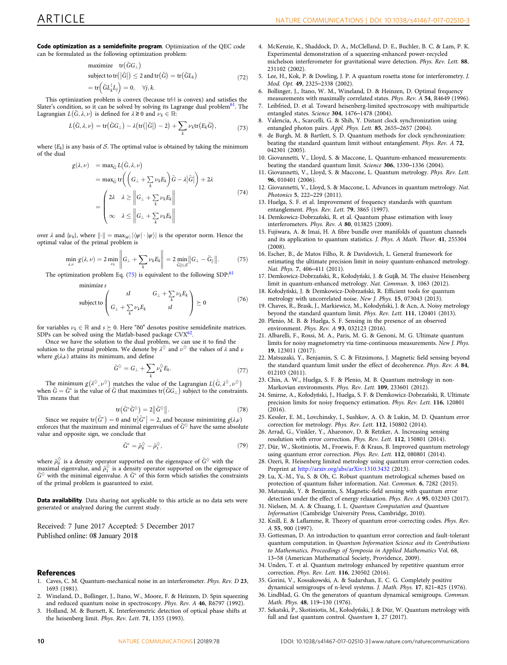<span id="page-9-0"></span>Code optimization as a semidefinite program. Optimization of the QEC code can be formulated as the following optimization problem:

maximize 
$$
\text{tr}(\tilde{G}G_{\perp})
$$
  
\nsubject to  $\text{tr}(|\tilde{G}|) \leq 2$  and  $\text{tr}(\tilde{G}) = \text{tr}(\tilde{G}L_k)$   
\n $= \text{tr}(\tilde{G}L_k^{\dagger}L_j) = 0, \quad \forall j, k.$  (72)

This optimization problem is convex (because trl- $\vert$  is convex) and satisfies the Slater's condition, so it can be solved by solving its Lagrange dual problem<sup>[61](#page-10-0)</sup>. The Lagrangian  $L(\tilde{G}, \lambda, \nu)$  is defined for  $\lambda \ge 0$  and  $\nu_k \in \mathbb{R}$ :

$$
L(\tilde{G}, \lambda, \nu) = \text{tr}(\tilde{G}G_{\perp}) - \lambda(\text{tr}(|\tilde{G}|) - 2) + \sum_{k} \nu_k \text{tr}(E_k \tilde{G}), \tag{73}
$$

where  ${E_k}$  is any basis of S. The optimal value is obtained by taking the minimum of the dual

$$
g(\lambda, \nu) = \max_{\tilde{G}} L(\tilde{G}, \lambda, \nu)
$$
  
=  $\max_{\tilde{G}} tr\left( \left( G_{\perp} + \sum_{k} \nu_{k} E_{k} \right) \tilde{G} - \lambda |\tilde{G}| \right) + 2\lambda$   
=  $\begin{pmatrix} 2\lambda & \lambda \geq \left\| G_{\perp} + \sum_{k} \nu_{k} E_{k} \right\| \\ \infty & \lambda \leq \left\| G_{\perp} + \sum_{k} \nu_{k} E_{k} \right\| \end{pmatrix}$  (74)

over  $\lambda$  and  $\{\nu_k\}$ , where  $\|\cdot\| = \max_{\{\psi\}} |\langle \psi | \cdot | \psi \rangle|$  is the operator norm. Hence the optimal value of the primal problem is

$$
\min_{\lambda,\nu} g(\lambda,\nu) = 2 \min_{\nu_k} \left\| G_{\perp} + \sum_k \nu_k E_k \right\| = 2 \min_{\tilde{G} \parallel \in \mathcal{S}} \left\| G_{\perp} - \tilde{G}_{\parallel} \right\|. \tag{75}
$$

The optimization problem Eq. (75) is equivalent to the following SDP:<sup>[61](#page-10-0)</sup>

minimize s

subject to 
$$
\begin{pmatrix} sI & G_{\perp} + \sum_{k} \nu_{k}E_{k} \\ G_{\perp} + \sum_{k} \nu_{k}E_{k} & sI \end{pmatrix} \succeq 0
$$
 (76)

for variables  $\nu_k \in \mathbb{R}$  and  $s \succeq 0$ . Here "δ0" denotes positive semidefinite matrices. SDPs can be solved using the Matlab-based package CVX<sup>62</sup>.

Once we have the solution to the dual problem, we can use it to find the solution to the primal problem. We denote by  $\lambda^{\Diamond}$  and  $\nu^{\Diamond}$  the values of  $\lambda$  and  $\nu$ where  $g(\lambda,\nu)$  attains its minimum, and define

$$
\tilde{G}^{\diamondsuit} = G_{\perp} + \sum_{k} \nu_{k}^{\diamondsuit} E_{k}.
$$
\n(77)

The minimum  $g(\lambda^{\diamondsuit}, \nu^{\diamondsuit})$  matches the value of the Lagrangian  $L(\tilde{G}, \lambda^{\diamondsuit}, \nu^{\diamondsuit})$ when  $\tilde{G} = \tilde{G}^*$  is the value of  $\tilde{G}$  that maximizes  $\text{tr}(\tilde{G}G_\perp)$  subject to the constraints.<br>This means that This means that

$$
\text{tr}(\tilde{G}^*\tilde{G}^{\Diamond}) = 2\|\tilde{G}^{\Diamond}\|.\tag{78}
$$

Since we require  $tr(\tilde{G}^*) = 0$  and  $tr|\tilde{G}^*| = 2$ , and because minimizing  $g(\lambda,\nu)$ <br>orces that the maximum and minimal eigenvalues of  $\tilde{G}^{\lozenge}$  have the same absolu enforces that the maximum and minimal eigenvalues of  $\tilde{G}^{\diamondsuit}$  have the same absolute value and opposite sign, we conclude that

$$
\tilde{G}^* = \tilde{\rho}_0^\diamondsuit - \tilde{\rho}_1^\diamondsuit,\tag{79}
$$

where  $\tilde{\rho}_0^{\diamondsuit}$  is a density operator supported on the eigenspace of  $\tilde{G}^{\diamondsuit}$  with the maximal eigenvalue, and  $\tilde{\rho}_1^{\circ}$  is a density operator supported on the eigenspace of  $\tilde{G}^{\diamond}$  with the minimal eigenvalue. A  $\tilde{G}^*$  of this form which satisfies the constraints of the primal problem is guaranteed to exist.

Data availability. Data sharing not applicable to this article as no data sets were generated or analyzed during the current study.

Received: 7 June 2017 Accepted: 5 December 2017 Published online: 08 January 2018

#### References

- 1. Caves, C. M. Quantum-mechanical noise in an interferometer. Phys. Rev. D 23, 1693 (1981).
- 2. Wineland, D., Bollinger, J., Itano, W., Moore, F. & Heinzen, D. Spin squeezing and reduced quantum noise in spectroscopy. Phys. Rev. A 46, R6797 (1992).
- 3. Holland, M. & Burnett, K. Interferometric detection of optical phase shifts at the heisenberg limit. Phys. Rev. Lett. 71, 1355 (1993).
- 4. McKenzie, K., Shaddock, D. A., McClelland, D. E., Buchler, B. C. & Lam, P. K. Experimental demonstration of a squeezing-enhanced power-recycled michelson interferometer for gravitational wave detection. Phys. Rev. Lett. 88, 231102 (2002).
- 5. Lee, H., Kok, P. & Dowling, J. P. A quantum rosetta stone for interferometry. J. Mod. Opt. 49, 2325–2338 (2002).
- 6. Bollinger, J., Itano, W. M., Wineland, D. & Heinzen, D. Optimal frequency measurements with maximally correlated states. Phys. Rev. A 54, R4649 (1996).
- 7. Leibfried, D. et al. Toward heisenberg-limited spectroscopy with multiparticle entangled states. Science 304, 1476–1478 (2004).
- 8. Valencia, A., Scarcelli, G. & Shih, Y. Distant clock synchronization using entangled photon pairs. Appl. Phys. Lett. 85, 2655–2657 (2004).
- 9. de Burgh, M. & Bartlett, S. D. Quantum methods for clock synchronization: beating the standard quantum limit without entanglement. Phys. Rev. A 72, 042301 (2005).
- 10. Giovannetti, V., Lloyd, S. & Maccone, L. Quantum-enhanced measurements: beating the standard quantum limit. Science 306, 1330–1336 (2004).
- 11. Giovannetti, V., Lloyd, S. & Maccone, L. Quantum metrology. Phys. Rev. Lett. 96, 010401 (2006).
- 12. Giovannetti, V., Lloyd, S. & Maccone, L. Advances in quantum metrology. Nat. Photonics 5, 222–229 (2011).
- 13. Huelga, S. F. et al. Improvement of frequency standards with quantum entanglement. Phys. Rev. Lett. 79, 3865 (1997).
- 14. Demkowicz-Dobrzański, R. et al. Quantum phase estimation with lossy interferometers. Phys. Rev. A 80, 013825 (2009).
- 15. Fujiwara, A. & Imai, H. A fibre bundle over manifolds of quantum channels and its application to quantum statistics. J. Phys. A Math. Theor. 41, 255304 (2008).
- 16. Escher, B., de Matos Filho, R. & Davidovich, L. General framework for estimating the ultimate precision limit in noisy quantum-enhanced metrology. Nat. Phys. 7, 406–411 (2011).
- 17. Demkowicz-Dobrzański, R., Kołodyński, J. & Guţǎ, M. The elusive Heisenberg limit in quantum-enhanced metrology. Nat. Commun. 3, 1063 (2012).
- 18. Kołodyński, J. & Demkowicz-Dobrzański, R. Efficient tools for quantum metrology with uncorrelated noise. New J. Phys. 15, 073043 (2013).
- 19. Chaves, R., Brask, J., Markiewicz, M., Kołodyński, J. & Acn, A. Noisy metrology beyond the standard quantum limit. Phys. Rev. Lett. 111, 120401 (2013).
- 20. Plenio, M. B. & Huelga, S. F. Sensing in the presence of an observed environment. Phys. Rev. A 93, 032123 (2016).
- 21. Albarelli, F., Rossi, M. A., Paris, M. G. & Genoni, M. G. Ultimate quantum limits for noisy magnetometry via time-continuous measurements. New J. Phys. 19, 123011 (2017).
- 22. Matsuzaki, Y., Benjamin, S. C. & Fitzsimons, J. Magnetic field sensing beyond the standard quantum limit under the effect of decoherence. Phys. Rev. A 84, 012103 (2011).
- 23. Chin, A. W., Huelga, S. F. & Plenio, M. B. Quantum metrology in non-Markovian environments. Phys. Rev. Lett. 109, 233601 (2012).
- 24. Smirne, A., Kołodyński, J., Huelga, S. F. & Demkowicz-Dobrzański, R. Ultimate precision limits for noisy frequency estimation. Phys. Rev. Lett. 116, 120801 (2016).
- 25. Kessler, E. M., Lovchinsky, I., Sushkov, A. O. & Lukin, M. D. Quantum error correction for metrology. Phys. Rev. Lett. 112, 150802 (2014).
- 26. Arrad, G., Vinkler, Y., Aharonov, D. & Retzker, A. Increasing sensing resolution with error correction. Phys. Rev. Lett. 112, 150801 (2014).
- 27. Dür, W., Skotiniotis, M., Froewis, F. & Kraus, B. Improved quantum metrology using quantum error correction. Phys. Rev. Lett. 112, 080801 (2014).
- 28. Ozeri, R. Heisenberg limited metrology using quantum error-correction codes. Preprint at <http://arxiv.org/abs/arXiv:1310.3432> (2013).
- 29. Lu, X.-M., Yu, S. & Oh, C. Robust quantum metrological schemes based on protection of quantum fisher information. Nat. Commun. 6, 7282 (2015).
- 30. Matsuzaki, Y. & Benjamin, S. Magnetic-field sensing with quantum error detection under the effect of energy relaxation. Phys. Rev. A 95, 032303 (2017).
- 31. Nielsen, M. A. & Chuang, I. L. Quantum Computation and Quantum Information (Cambridge University Press, Cambridge, 2010).
- 32. Knill, E. & Laflamme, R. Theory of quantum error-correcting codes. Phys. Rev. A 55, 900 (1997).
- 33. Gottesman, D. An introduction to quantum error correction and fault-tolerant quantum computation. in Quantum Information Science and its Contributions to Mathematics, Proceedings of Symposia in Applied Mathematics Vol. 68, 13–58 (American Mathematical Society, Providence, 2009).
- 34. Unden, T. et al. Quantum metrology enhanced by repetitive quantum error correction. Phys. Rev. Lett. 116, 230502 (2016).
- 35. Gorini, V., Kossakowski, A. & Sudarshan, E. C. G. Completely positive dynamical semigroups of n-level systems. J. Math. Phys. 17, 821–825 (1976).
- 36. Lindblad, G. On the generators of quantum dynamical semigroups. Commun. Math. Phys. 48, 119–130 (1976).
- 37. Sekatski, P., Skotiniotis, M., Kołodyński, J. & Dür, W. Quantum metrology with full and fast quantum control. Quantum 1, 27 (2017).